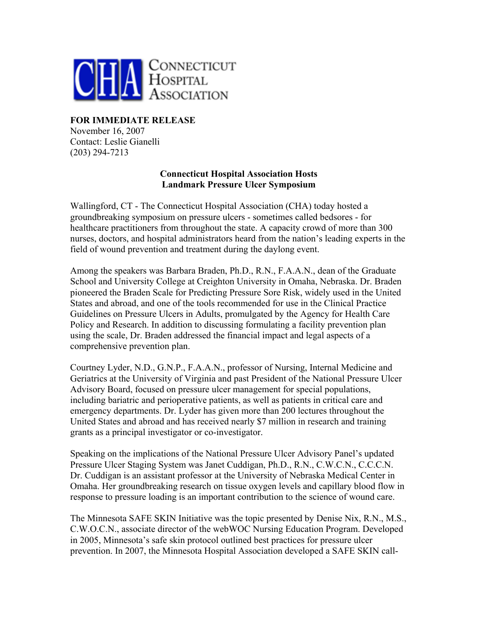

## **FOR IMMEDIATE RELEASE**

November 16, 2007 Contact: Leslie Gianelli (203) 294-7213

## **Connecticut Hospital Association Hosts Landmark Pressure Ulcer Symposium**

Wallingford, CT - The Connecticut Hospital Association (CHA) today hosted a groundbreaking symposium on pressure ulcers - sometimes called bedsores - for healthcare practitioners from throughout the state. A capacity crowd of more than 300 nurses, doctors, and hospital administrators heard from the nation's leading experts in the field of wound prevention and treatment during the daylong event.

Among the speakers was Barbara Braden, Ph.D., R.N., F.A.A.N., dean of the Graduate School and University College at Creighton University in Omaha, Nebraska. Dr. Braden pioneered the Braden Scale for Predicting Pressure Sore Risk, widely used in the United States and abroad, and one of the tools recommended for use in the Clinical Practice Guidelines on Pressure Ulcers in Adults, promulgated by the Agency for Health Care Policy and Research. In addition to discussing formulating a facility prevention plan using the scale, Dr. Braden addressed the financial impact and legal aspects of a comprehensive prevention plan.

Courtney Lyder, N.D., G.N.P., F.A.A.N., professor of Nursing, Internal Medicine and Geriatrics at the University of Virginia and past President of the National Pressure Ulcer Advisory Board, focused on pressure ulcer management for special populations, including bariatric and perioperative patients, as well as patients in critical care and emergency departments. Dr. Lyder has given more than 200 lectures throughout the United States and abroad and has received nearly \$7 million in research and training grants as a principal investigator or co-investigator.

Speaking on the implications of the National Pressure Ulcer Advisory Panel's updated Pressure Ulcer Staging System was Janet Cuddigan, Ph.D., R.N., C.W.C.N., C.C.C.N. Dr. Cuddigan is an assistant professor at the University of Nebraska Medical Center in Omaha. Her groundbreaking research on tissue oxygen levels and capillary blood flow in response to pressure loading is an important contribution to the science of wound care.

The Minnesota SAFE SKIN Initiative was the topic presented by Denise Nix, R.N., M.S., C.W.O.C.N., associate director of the webWOC Nursing Education Program. Developed in 2005, Minnesota's safe skin protocol outlined best practices for pressure ulcer prevention. In 2007, the Minnesota Hospital Association developed a SAFE SKIN call